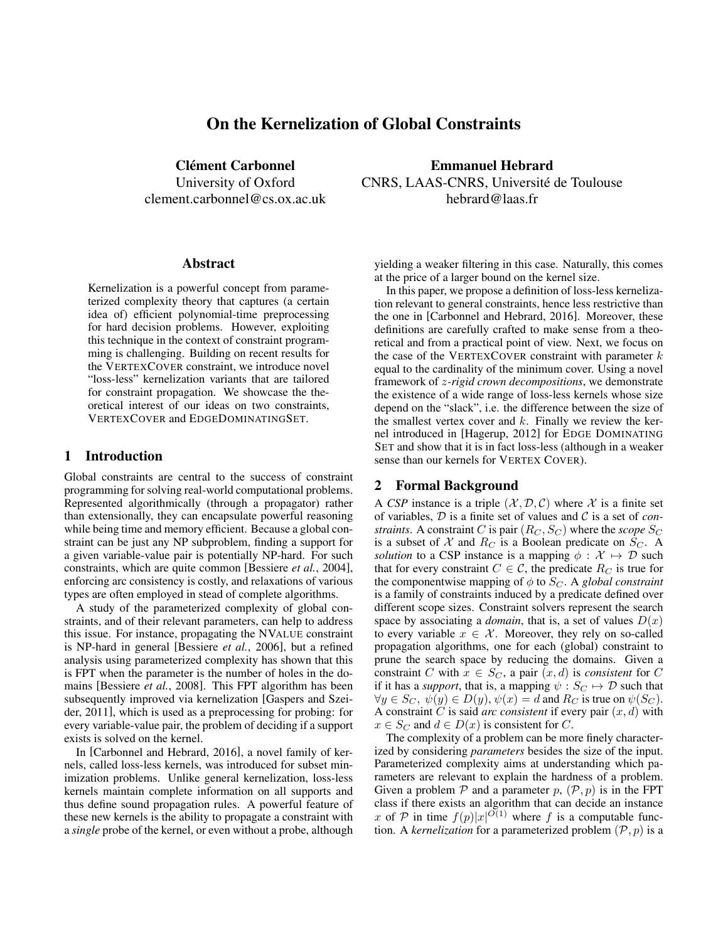# On the Kernelization of Global Constraints

Clément Carbonnel

University of Oxford clement.carbonnel@cs.ox.ac.uk

#### Abstract

Kernelization is a powerful concept from parameterized complexity theory that captures (a certain idea of) efficient polynomial-time preprocessing for hard decision problems. However, exploiting this technique in the context of constraint programming is challenging. Building on recent results for the VERTEXCOVER constraint, we introduce novel "loss-less" kernelization variants that are tailored for constraint propagation. We showcase the theoretical interest of our ideas on two constraints, VERTEXCOVER and EDGEDOMINATINGSET.

### 1 Introduction

Global constraints are central to the success of constraint programming for solving real-world computational problems. Represented algorithmically (through a propagator) rather than extensionally, they can encapsulate powerful reasoning while being time and memory efficient. Because a global constraint can be just any NP subproblem, finding a support for a given variable-value pair is potentially NP-hard. For such constraints, which are quite common [Bessiere *et al.*, 2004], enforcing arc consistency is costly, and relaxations of various types are often employed in stead of complete algorithms.

A study of the parameterized complexity of global constraints, and of their relevant parameters, can help to address this issue. For instance, propagating the NVALUE constraint is NP-hard in general [Bessiere *et al.*, 2006], but a refined analysis using parameterized complexity has shown that this is FPT when the parameter is the number of holes in the domains [Bessiere *et al.*, 2008]. This FPT algorithm has been subsequently improved via kernelization [Gaspers and Szeider, 2011], which is used as a preprocessing for probing: for every variable-value pair, the problem of deciding if a support exists is solved on the kernel.

In [Carbonnel and Hebrard, 2016], a novel family of kernels, called loss-less kernels, was introduced for subset minimization problems. Unlike general kernelization, loss-less kernels maintain complete information on all supports and thus define sound propagation rules. A powerful feature of these new kernels is the ability to propagate a constraint with a *single* probe of the kernel, or even without a probe, although

Emmanuel Hebrard CNRS, LAAS-CNRS, Universite de Toulouse ´ hebrard@laas.fr

yielding a weaker filtering in this case. Naturally, this comes at the price of a larger bound on the kernel size.

In this paper, we propose a definition of loss-less kernelization relevant to general constraints, hence less restrictive than the one in [Carbonnel and Hebrard, 2016]. Moreover, these definitions are carefully crafted to make sense from a theoretical and from a practical point of view. Next, we focus on the case of the VERTEXCOVER constraint with parameter  $k$ equal to the cardinality of the minimum cover. Using a novel framework of z*-rigid crown decompositions*, we demonstrate the existence of a wide range of loss-less kernels whose size depend on the "slack", i.e. the difference between the size of the smallest vertex cover and  $k$ . Finally we review the kernel introduced in [Hagerup, 2012] for EDGE DOMINATING SET and show that it is in fact loss-less (although in a weaker sense than our kernels for VERTEX COVER).

## 2 Formal Background

A *CSP* instance is a triple  $(\mathcal{X}, \mathcal{D}, \mathcal{C})$  where X is a finite set of variables, D is a finite set of values and C is a set of *constraints*. A constraint C is pair  $(R_C, S_C)$  where the *scope*  $S_C$ is a subset of  $X$  and  $R_C$  is a Boolean predicate on  $S_C$ . A *solution* to a CSP instance is a mapping  $\phi : \mathcal{X} \mapsto \mathcal{D}$  such that for every constraint  $C \in \mathcal{C}$ , the predicate  $R_C$  is true for the componentwise mapping of  $\phi$  to  $S_C$ . A *global constraint* is a family of constraints induced by a predicate defined over different scope sizes. Constraint solvers represent the search space by associating a *domain*, that is, a set of values  $D(x)$ to every variable  $x \in \mathcal{X}$ . Moreover, they rely on so-called propagation algorithms, one for each (global) constraint to prune the search space by reducing the domains. Given a constraint C with  $x \in S_C$ , a pair  $(x, d)$  is *consistent* for C if it has a *support*, that is, a mapping  $\psi : S_C \mapsto \mathcal{D}$  such that  $\forall y \in S_C, \psi(y) \in D(y), \psi(x) = d$  and  $R_C$  is true on  $\psi(S_C)$ . A constraint  $C$  is said *arc consistent* if every pair  $(x, d)$  with  $x \in S_C$  and  $d \in D(x)$  is consistent for C.

The complexity of a problem can be more finely characterized by considering *parameters* besides the size of the input. Parameterized complexity aims at understanding which parameters are relevant to explain the hardness of a problem. Given a problem  $P$  and a parameter  $p$ ,  $(P, p)$  is in the FPT class if there exists an algorithm that can decide an instance x of P in time  $f(p)|x|^{O(1)}$  where f is a computable function. A *kernelization* for a parameterized problem  $(\mathcal{P}, p)$  is a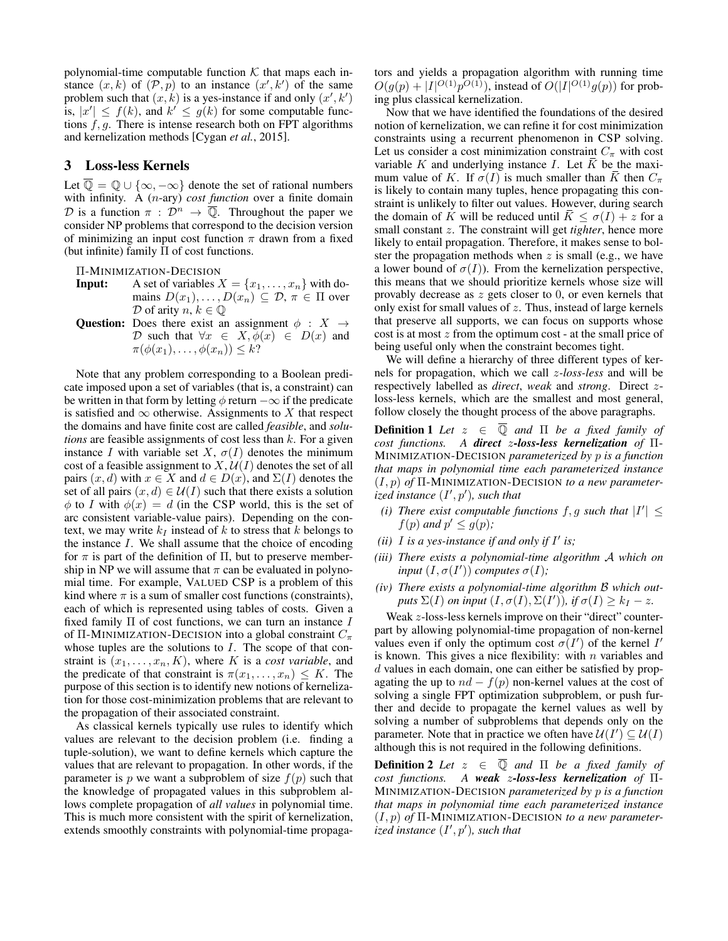polynomial-time computable function  $K$  that maps each instance  $(x, k)$  of  $(\mathcal{P}, p)$  to an instance  $(x', k')$  of the same problem such that  $(x, k)$  is a yes-instance if and only  $(x', k')$ is,  $|x'| \leq f(k)$ , and  $k' \leq g(k)$  for some computable functions  $f, g$ . There is intense research both on FPT algorithms and kernelization methods [Cygan *et al.*, 2015].

### 3 Loss-less Kernels

Let  $\overline{\mathbb{Q}} = \mathbb{Q} \cup \{\infty, -\infty\}$  denote the set of rational numbers with infinity. A (n-ary) *cost function* over a finite domain D is a function  $\pi$ :  $\mathcal{D}^n \to \overline{\mathbb{Q}}$ . Throughout the paper we consider NP problems that correspond to the decision version of minimizing an input cost function  $\pi$  drawn from a fixed (but infinite) family Π of cost functions.

Π-MINIMIZATION-DECISION

- **Input:** A set of variables  $X = \{x_1, \ldots, x_n\}$  with domains  $D(x_1), \ldots, D(x_n) \subseteq \mathcal{D}, \pi \in \Pi$  over  $D$  of arity  $n, k \in \mathbb{Q}$
- Question: Does there exist an assignment  $\phi : X \rightarrow$ D such that  $\forall x \in X, \phi(x) \in D(x)$  and  $\pi(\phi(x_1),\ldots,\phi(x_n))\leq k$ ?

Note that any problem corresponding to a Boolean predicate imposed upon a set of variables (that is, a constraint) can be written in that form by letting  $\phi$  return  $-\infty$  if the predicate is satisfied and  $\infty$  otherwise. Assignments to X that respect the domains and have finite cost are called *feasible*, and *solutions* are feasible assignments of cost less than k. For a given instance I with variable set X,  $\sigma(I)$  denotes the minimum cost of a feasible assignment to  $X, U(I)$  denotes the set of all pairs  $(x, d)$  with  $x \in X$  and  $d \in D(x)$ , and  $\Sigma(I)$  denotes the set of all pairs  $(x, d) \in U(I)$  such that there exists a solution  $\phi$  to I with  $\phi(x) = d$  (in the CSP world, this is the set of arc consistent variable-value pairs). Depending on the context, we may write  $k_I$  instead of k to stress that k belongs to the instance  $I$ . We shall assume that the choice of encoding for  $\pi$  is part of the definition of  $\Pi$ , but to preserve membership in NP we will assume that  $\pi$  can be evaluated in polynomial time. For example, VALUED CSP is a problem of this kind where  $\pi$  is a sum of smaller cost functions (constraints), each of which is represented using tables of costs. Given a fixed family  $\Pi$  of cost functions, we can turn an instance  $I$ of Π-MINIMIZATION-DECISION into a global constraint  $C_{\pi}$ whose tuples are the solutions to  $I$ . The scope of that constraint is  $(x_1, \ldots, x_n, K)$ , where K is a *cost variable*, and the predicate of that constraint is  $\pi(x_1, \ldots, x_n) \leq K$ . The purpose of this section is to identify new notions of kernelization for those cost-minimization problems that are relevant to the propagation of their associated constraint.

As classical kernels typically use rules to identify which values are relevant to the decision problem (i.e. finding a tuple-solution), we want to define kernels which capture the values that are relevant to propagation. In other words, if the parameter is p we want a subproblem of size  $f(p)$  such that the knowledge of propagated values in this subproblem allows complete propagation of *all values* in polynomial time. This is much more consistent with the spirit of kernelization, extends smoothly constraints with polynomial-time propagators and yields a propagation algorithm with running time  $O(g(p) + |I|^{O(1)}p^{O(1)})$ , instead of  $O(|I|^{O(1)}g(p))$  for probing plus classical kernelization.

Now that we have identified the foundations of the desired notion of kernelization, we can refine it for cost minimization constraints using a recurrent phenomenon in CSP solving. Let us consider a cost minimization constraint  $C_{\pi}$  with cost variable K and underlying instance I. Let  $\overline{K}$  be the maximum value of K. If  $\sigma(I)$  is much smaller than K then  $C_{\pi}$ is likely to contain many tuples, hence propagating this constraint is unlikely to filter out values. However, during search the domain of K will be reduced until  $\overline{K} \leq \sigma(I) + z$  for a small constant z. The constraint will get *tighter*, hence more likely to entail propagation. Therefore, it makes sense to bolster the propagation methods when  $z$  is small (e.g., we have a lower bound of  $\sigma(I)$ ). From the kernelization perspective, this means that we should prioritize kernels whose size will provably decrease as z gets closer to 0, or even kernels that only exist for small values of  $z$ . Thus, instead of large kernels that preserve all supports, we can focus on supports whose cost is at most  $z$  from the optimum cost - at the small price of being useful only when the constraint becomes tight.

We will define a hierarchy of three different types of kernels for propagation, which we call z*-loss-less* and will be respectively labelled as *direct*, *weak* and *strong*. Direct zloss-less kernels, which are the smallest and most general, follow closely the thought process of the above paragraphs.

**Definition 1** Let  $z \in \overline{Q}$  and  $\Pi$  be a fixed family of *cost functions. A direct* z*-loss-less kernelization of* Π-MINIMIZATION-DECISION *parameterized by* p *is a function that maps in polynomial time each parameterized instance* (I, p) *of* Π-MINIMIZATION-DECISION *to a new parameterized instance*  $(I', p')$ *, such that* 

- (*i*) There exist computable functions  $f, g$  such that  $|I'| \leq$  $f(p)$  and  $p' \leq g(p)$ ;
- (*ii*)  $I$  *is a yes-instance if and only if*  $I'$  *is*;
- *(iii) There exists a polynomial-time algorithm* A *which on input*  $(I, \sigma(I'))$  *computes*  $\sigma(I)$ *;*
- *(iv) There exists a polynomial-time algorithm* B *which outputs*  $\Sigma(I)$  *on input*  $(I, \sigma(I), \Sigma(I'))$ *, if*  $\sigma(I) \geq k_I - z$ *.*

Weak z-loss-less kernels improve on their "direct" counterpart by allowing polynomial-time propagation of non-kernel values even if only the optimum cost  $\sigma(I')$  of the kernel I' is known. This gives a nice flexibility: with  $n$  variables and d values in each domain, one can either be satisfied by propagating the up to  $nd - f(p)$  non-kernel values at the cost of solving a single FPT optimization subproblem, or push further and decide to propagate the kernel values as well by solving a number of subproblems that depends only on the parameter. Note that in practice we often have  $\mathcal{U}(I') \subseteq \mathcal{U}(I)$ although this is not required in the following definitions.

**Definition 2** *Let*  $z \in \overline{Q}$  *and*  $\Pi$  *be a fixed family of cost functions. A weak* z*-loss-less kernelization of* Π-MINIMIZATION-DECISION *parameterized by* p *is a function that maps in polynomial time each parameterized instance* (I, p) *of* Π-MINIMIZATION-DECISION *to a new parameterized instance*  $(I', p')$ *, such that*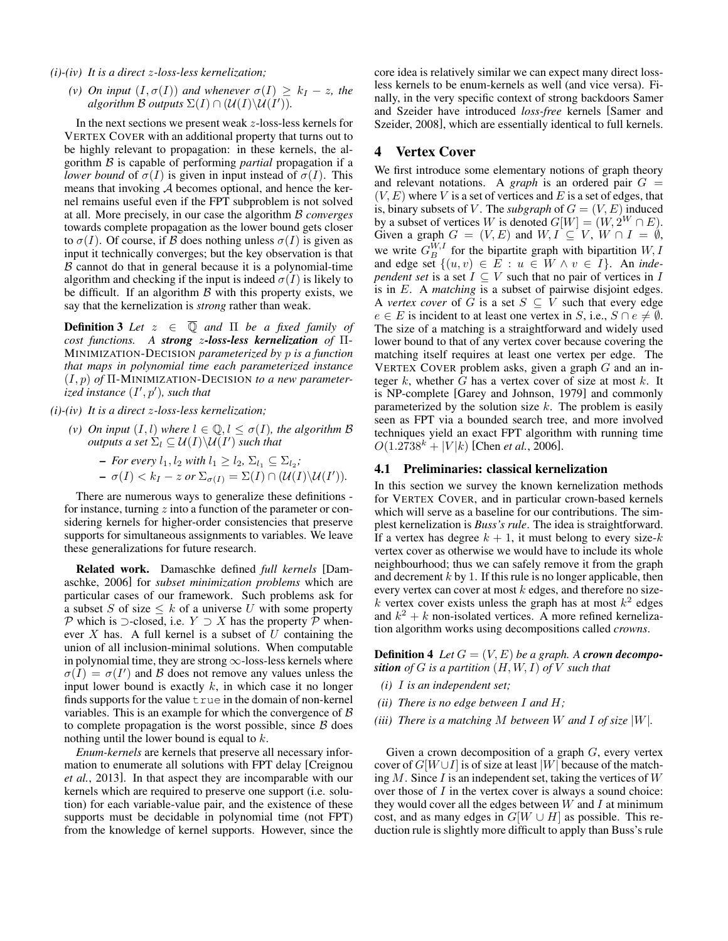*(i)-(iv) It is a direct* z*-loss-less kernelization;*

*(v) On input*  $(I, \sigma(I))$  *and whenever*  $\sigma(I) \geq k_I - z$ *, the algorithm*  $\mathcal B$  *outputs*  $\Sigma(I) \cap (\mathcal U(I) \backslash \mathcal U(I')).$ 

In the next sections we present weak z-loss-less kernels for VERTEX COVER with an additional property that turns out to be highly relevant to propagation: in these kernels, the algorithm B is capable of performing *partial* propagation if a *lower bound* of  $\sigma(I)$  is given in input instead of  $\sigma(I)$ . This means that invoking  $A$  becomes optional, and hence the kernel remains useful even if the FPT subproblem is not solved at all. More precisely, in our case the algorithm B *converges* towards complete propagation as the lower bound gets closer to  $\sigma(I)$ . Of course, if B does nothing unless  $\sigma(I)$  is given as input it technically converges; but the key observation is that  $\beta$  cannot do that in general because it is a polynomial-time algorithm and checking if the input is indeed  $\sigma(I)$  is likely to be difficult. If an algorithm  $\beta$  with this property exists, we say that the kernelization is *strong* rather than weak.

**Definition 3** Let  $z \in \overline{Q}$  and  $\Pi$  be a fixed family of *cost functions. A strong* z*-loss-less kernelization of* Π-MINIMIZATION-DECISION *parameterized by* p *is a function that maps in polynomial time each parameterized instance* (I, p) *of* Π-MINIMIZATION-DECISION *to a new parameterized instance*  $(I', p')$ *, such that* 

*(i)-(iv) It is a direct* z*-loss-less kernelization;*

- *(v) On input*  $(I, l)$  *where*  $l \in \mathbb{Q}, l \leq \sigma(I)$ *, the algorithm* B  $outputs$  a set  $\Sigma_l\subseteq \mathcal{U}(I)\backslash \mathcal{U}(I')$  such that  $-$  *For every*  $l_1, l_2$  *with*  $l_1 \geq l_2, \Sigma_{l_1} \subseteq \Sigma_{l_2}$ ;
	- $\sigma(I) < k_I z \text{ or } \Sigma_{\sigma(I)} = \Sigma(I) \cap (\mathcal{U}(I) \backslash \mathcal{U}(I')).$

There are numerous ways to generalize these definitions for instance, turning  $z$  into a function of the parameter or considering kernels for higher-order consistencies that preserve supports for simultaneous assignments to variables. We leave these generalizations for future research.

Related work. Damaschke defined *full kernels* [Damaschke, 2006] for *subset minimization problems* which are particular cases of our framework. Such problems ask for a subset S of size  $\leq k$  of a universe U with some property P which is ⊃-closed, i.e.  $Y$  ⊃ X has the property P whenever  $X$  has. A full kernel is a subset of  $U$  containing the union of all inclusion-minimal solutions. When computable in polynomial time, they are strong  $\infty$ -loss-less kernels where  $\sigma(I) = \sigma(I')$  and B does not remove any values unless the input lower bound is exactly  $k$ , in which case it no longer finds supports for the value  $t$  rue in the domain of non-kernel variables. This is an example for which the convergence of  $\beta$ to complete propagation is the worst possible, since  $B$  does nothing until the lower bound is equal to  $k$ .

*Enum-kernels* are kernels that preserve all necessary information to enumerate all solutions with FPT delay [Creignou *et al.*, 2013]. In that aspect they are incomparable with our kernels which are required to preserve one support (i.e. solution) for each variable-value pair, and the existence of these supports must be decidable in polynomial time (not FPT) from the knowledge of kernel supports. However, since the core idea is relatively similar we can expect many direct lossless kernels to be enum-kernels as well (and vice versa). Finally, in the very specific context of strong backdoors Samer and Szeider have introduced *loss-free* kernels [Samer and Szeider, 2008], which are essentially identical to full kernels.

## 4 Vertex Cover

We first introduce some elementary notions of graph theory and relevant notations. A *graph* is an ordered pair  $G =$  $(V, E)$  where V is a set of vertices and E is a set of edges, that is, binary subsets of V. The *subgraph* of  $G = (V, E)$  induced by a subset of vertices W is denoted  $G[W] = (W, 2^W \cap E)$ . Given a graph  $G = (V, E)$  and  $W, I \subseteq V, W \cap I = \emptyset$ , we write  $G_B^{W,I}$  for the bipartite graph with bipartition  $W, I$ and edge set  $\{(u, v) \in E : u \in W \land v \in I\}$ . An *independent set* is a set  $I \subseteq V$  such that no pair of vertices in  $I$ is in E. A *matching* is a subset of pairwise disjoint edges. A *vertex cover* of  $\tilde{G}$  is a set  $S \subseteq V$  such that every edge  $e \in E$  is incident to at least one vertex in S, i.e.,  $S \cap e \neq \emptyset$ . The size of a matching is a straightforward and widely used lower bound to that of any vertex cover because covering the matching itself requires at least one vertex per edge. The VERTEX COVER problem asks, given a graph  $G$  and an integer  $k$ , whether  $G$  has a vertex cover of size at most  $k$ . It is NP-complete [Garey and Johnson, 1979] and commonly parameterized by the solution size  $k$ . The problem is easily seen as FPT via a bounded search tree, and more involved techniques yield an exact FPT algorithm with running time  $O(1.2738^k + |V|k)$  [Chen *et al.*, 2006].

#### 4.1 Preliminaries: classical kernelization

In this section we survey the known kernelization methods for VERTEX COVER, and in particular crown-based kernels which will serve as a baseline for our contributions. The simplest kernelization is *Buss's rule*. The idea is straightforward. If a vertex has degree  $k + 1$ , it must belong to every size-k vertex cover as otherwise we would have to include its whole neighbourhood; thus we can safely remove it from the graph and decrement  $k$  by 1. If this rule is no longer applicable, then every vertex can cover at most  $k$  edges, and therefore no sizek vertex cover exists unless the graph has at most  $k^2$  edges and  $k^2 + k$  non-isolated vertices. A more refined kernelization algorithm works using decompositions called *crowns*.

**Definition 4** Let  $G = (V, E)$  be a graph. A **crown decompo***sition of*  $G$  *is a partition*  $(H, W, I)$  *of*  $V$  *such that* 

- *(i)* I *is an independent set;*
- *(ii) There is no edge between* I *and* H*;*
- *(iii) There is a matching* M *between* W *and* I *of size* |W|*.*

Given a crown decomposition of a graph  $G$ , every vertex cover of  $G[W \cup I]$  is of size at least |W| because of the matching  $M$ . Since  $I$  is an independent set, taking the vertices of  $W$ over those of  $I$  in the vertex cover is always a sound choice: they would cover all the edges between  $W$  and  $I$  at minimum cost, and as many edges in  $G[W \cup H]$  as possible. This reduction rule is slightly more difficult to apply than Buss's rule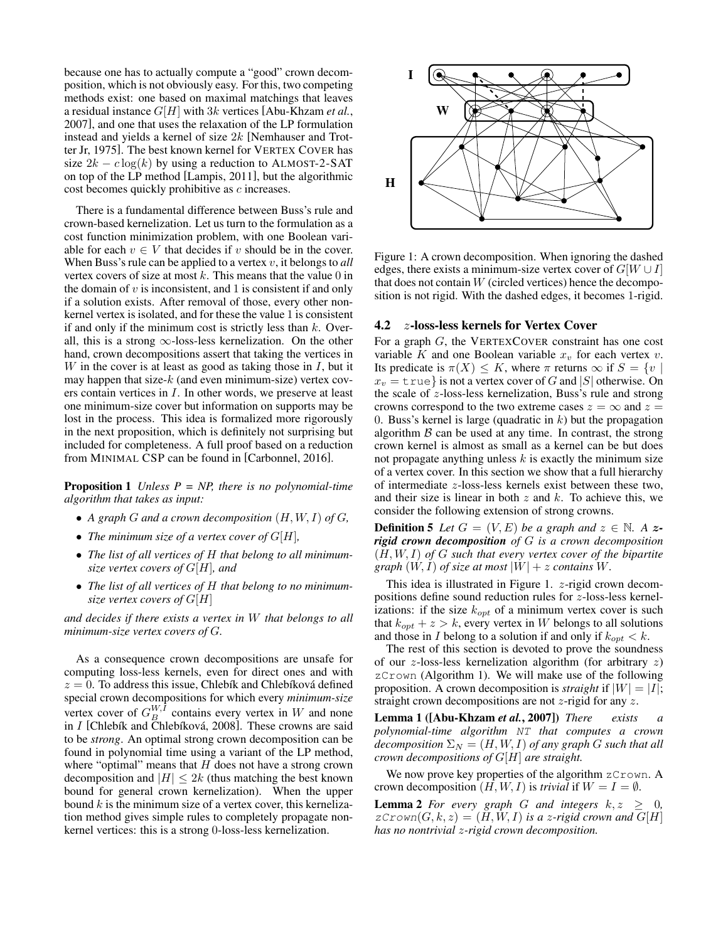because one has to actually compute a "good" crown decomposition, which is not obviously easy. For this, two competing methods exist: one based on maximal matchings that leaves a residual instance G[H] with 3k vertices [Abu-Khzam *et al.*, 2007], and one that uses the relaxation of the LP formulation instead and yields a kernel of size 2k [Nemhauser and Trotter Jr, 1975]. The best known kernel for VERTEX COVER has size  $2k - c \log(k)$  by using a reduction to ALMOST-2-SAT on top of the LP method [Lampis, 2011], but the algorithmic cost becomes quickly prohibitive as c increases.

There is a fundamental difference between Buss's rule and crown-based kernelization. Let us turn to the formulation as a cost function minimization problem, with one Boolean variable for each  $v \in V$  that decides if v should be in the cover. When Buss's rule can be applied to a vertex v, it belongs to *all* vertex covers of size at most  $k$ . This means that the value  $0$  in the domain of  $v$  is inconsistent, and 1 is consistent if and only if a solution exists. After removal of those, every other nonkernel vertex is isolated, and for these the value 1 is consistent if and only if the minimum cost is strictly less than  $k$ . Overall, this is a strong  $\infty$ -loss-less kernelization. On the other hand, crown decompositions assert that taking the vertices in W in the cover is at least as good as taking those in  $I$ , but it may happen that size- $k$  (and even minimum-size) vertex covers contain vertices in I. In other words, we preserve at least one minimum-size cover but information on supports may be lost in the process. This idea is formalized more rigorously in the next proposition, which is definitely not surprising but included for completeness. A full proof based on a reduction from MINIMAL CSP can be found in [Carbonnel, 2016].

Proposition 1 *Unless P = NP, there is no polynomial-time algorithm that takes as input:*

- *A graph* G *and a crown decomposition* (H, W, I) *of* G*,*
- *The minimum size of a vertex cover of*  $G[H]$ *,*
- *The list of all vertices of* H *that belong to all minimumsize vertex covers of* G[H]*, and*
- *The list of all vertices of* H *that belong to no minimumsize vertex covers of* G[H]

*and decides if there exists a vertex in* W *that belongs to all minimum-size vertex covers of* G*.*

As a consequence crown decompositions are unsafe for computing loss-less kernels, even for direct ones and with  $z = 0$ . To address this issue, Chlebík and Chlebíková defined special crown decompositions for which every *minimum-size* vertex cover of  $G_B^{W,I}$  contains every vertex in W and none in  $I$  [Chlebík and Chlebíková, 2008]. These crowns are said to be *strong*. An optimal strong crown decomposition can be found in polynomial time using a variant of the LP method, where "optimal" means that  $H$  does not have a strong crown decomposition and  $|H| \leq 2k$  (thus matching the best known bound for general crown kernelization). When the upper bound  $k$  is the minimum size of a vertex cover, this kernelization method gives simple rules to completely propagate nonkernel vertices: this is a strong 0-loss-less kernelization.



Figure 1: A crown decomposition. When ignoring the dashed edges, there exists a minimum-size vertex cover of  $G[W \cup I]$ that does not contain  $W$  (circled vertices) hence the decomposition is not rigid. With the dashed edges, it becomes 1-rigid.

#### 4.2 z-loss-less kernels for Vertex Cover

For a graph G, the VERTEXCOVER constraint has one cost variable K and one Boolean variable  $x<sub>v</sub>$  for each vertex v. Its predicate is  $\pi(X) \leq K$ , where  $\pi$  returns  $\infty$  if  $S = \{v \mid$  $x_v = \text{true}$  is not a vertex cover of G and |S| otherwise. On the scale of z-loss-less kernelization, Buss's rule and strong crowns correspond to the two extreme cases  $z = \infty$  and  $z =$ 0. Buss's kernel is large (quadratic in  $k$ ) but the propagation algorithm  $\beta$  can be used at any time. In contrast, the strong crown kernel is almost as small as a kernel can be but does not propagate anything unless  $k$  is exactly the minimum size of a vertex cover. In this section we show that a full hierarchy of intermediate z-loss-less kernels exist between these two, and their size is linear in both  $z$  and  $k$ . To achieve this, we consider the following extension of strong crowns.

**Definition 5** Let  $G = (V, E)$  be a graph and  $z \in \mathbb{N}$ . A z*rigid crown decomposition of* G *is a crown decomposition* (H, W, I) *of* G *such that every vertex cover of the bipartite graph*  $(W, I)$  *of size at most*  $|W| + z$  *contains* W.

This idea is illustrated in Figure 1. z-rigid crown decompositions define sound reduction rules for z-loss-less kernelizations: if the size  $k_{opt}$  of a minimum vertex cover is such that  $k_{opt} + z > k$ , every vertex in W belongs to all solutions and those in I belong to a solution if and only if  $k_{opt} < k$ .

The rest of this section is devoted to prove the soundness of our z-loss-less kernelization algorithm (for arbitrary  $z$ ) zCrown (Algorithm 1). We will make use of the following proposition. A crown decomposition is *straight* if  $|W| = |I|$ ; straight crown decompositions are not z-rigid for any z.

Lemma 1 ([Abu-Khzam *et al.*, 2007]) *There exists a polynomial-time algorithm* NT *that computes a crown*  $decomposition \Sigma_N = (H, W, I)$  *of any graph G such that all crown decompositions of* G[H] *are straight.*

We now prove key properties of the algorithm zCrown. A crown decomposition  $(H, W, I)$  is *trivial* if  $W = I = \emptyset$ .

**Lemma 2** *For every graph G and integers*  $k, z \geq 0$ *,*  $zCrown(G, k, z) = (H, W, I)$  *is a z-rigid crown and*  $G[H]$ *has no nontrivial* z*-rigid crown decomposition.*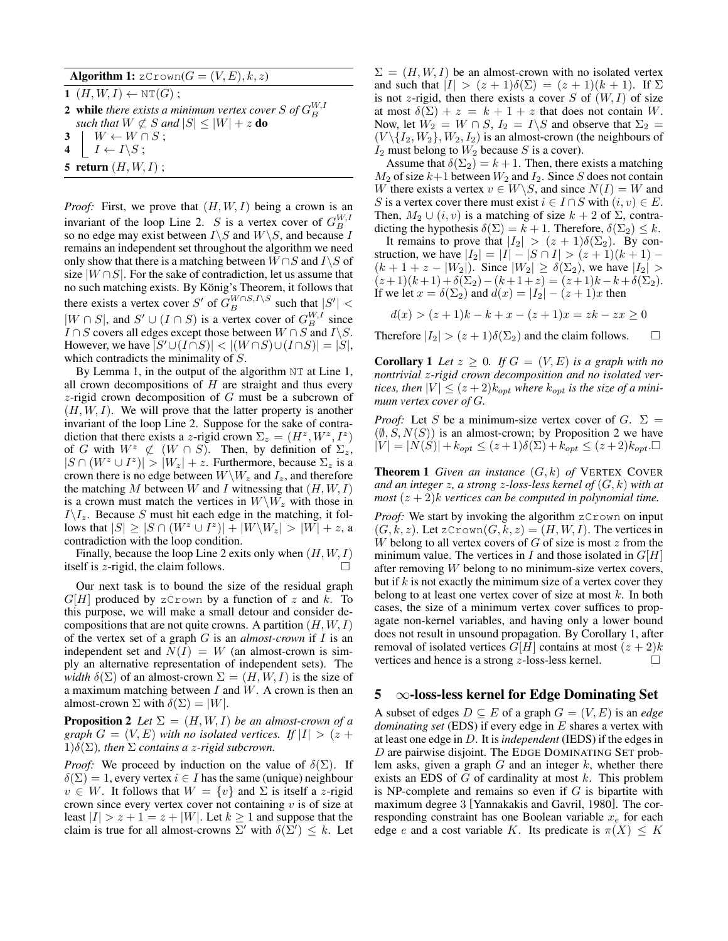Algorithm 1:  $z$ Crown( $G = (V, E), k, z$ )

 $1$   $(H, W, I) \leftarrow \text{NT}(G)$ ;

- **2** while there exists a minimum vertex cover S of  $G_B^{W,I}$ *such that*  $W \not\subset S$  *and*  $|S| \leq |W| + z$  **do**
- $3 \mid W \leftarrow W \cap S$ ;
- $\mathbf{4} \mid I \leftarrow I \backslash S$ ;
- 
- 5 return  $(H, W, I)$ ;

*Proof:* First, we prove that  $(H, W, I)$  being a crown is an invariant of the loop Line 2. S is a vertex cover of  $G_B^{W,I}$ so no edge may exist between  $I\backslash S$  and  $W\backslash S$ , and because I remains an independent set throughout the algorithm we need only show that there is a matching between  $W \cap S$  and  $I \setminus S$  of size  $|W \cap S|$ . For the sake of contradiction, let us assume that no such matching exists. By König's Theorem, it follows that there exists a vertex cover S' of  $G_B^{W \cap S,I \setminus S}$  such that  $|S'| <$  $|W \cap S|$ , and  $S' \cup (I \cap S)$  is a vertex cover of  $G_B^{W,I}$  since  $I \cap S$  covers all edges except those between  $W \cap S$  and  $I \backslash S$ . However, we have  $|S' \cup (I \cap S)| < |(W \cap S) \cup (I \cap S)| = |S|$ , which contradicts the minimality of S.

By Lemma 1, in the output of the algorithm NT at Line 1, all crown decompositions of  $H$  are straight and thus every z-rigid crown decomposition of  $G$  must be a subcrown of  $(H, W, I)$ . We will prove that the latter property is another invariant of the loop Line 2. Suppose for the sake of contradiction that there exists a z-rigid crown  $\Sigma_z = (H^z, W^z, I^z)$ of G with  $W^z \not\subset (W \cap S)$ . Then, by definition of  $\Sigma_z$ ,  $|S \cap (W^z \cup I^z)| > |W_z| + z$ . Furthermore, because  $\Sigma_z$  is a crown there is no edge between  $W\backslash W_z$  and  $I_z$ , and therefore the matching M between W and I witnessing that  $(H, W, I)$ is a crown must match the vertices in  $W\backslash W_z$  with those in  $I\backslash I_z$ . Because S must hit each edge in the matching, it follows that  $|S| \ge |S \cap (W^z \cup I^z)| + |W \backslash W_z| > |W| + z$ , a contradiction with the loop condition.

Finally, because the loop Line 2 exits only when  $(H, W, I)$ itself is *z*-rigid, the claim follows.

Our next task is to bound the size of the residual graph  $G[H]$  produced by zCrown by a function of z and k. To this purpose, we will make a small detour and consider decompositions that are not quite crowns. A partition  $(H, W, I)$ of the vertex set of a graph G is an *almost-crown* if I is an independent set and  $N(I) = W$  (an almost-crown is simply an alternative representation of independent sets). The *width*  $\delta(\Sigma)$  of an almost-crown  $\Sigma = (H, W, I)$  is the size of a maximum matching between  $I$  and  $W$ . A crown is then an almost-crown  $\Sigma$  with  $\delta(\Sigma) = |W|$ .

**Proposition 2** *Let*  $\Sigma = (H, W, I)$  *be an almost-crown of a graph*  $G = (V, E)$  *with no isolated vertices. If*  $|I| > (z +$  $1)\delta(\Sigma)$ *, then*  $\Sigma$  *contains a z-rigid subcrown.* 

*Proof:* We proceed by induction on the value of  $\delta(\Sigma)$ . If  $\delta(\Sigma) = 1$ , every vertex  $i \in I$  has the same (unique) neighbour  $v \in W$ . It follows that  $W = \{v\}$  and  $\Sigma$  is itself a z-rigid crown since every vertex cover not containing  $v$  is of size at least  $|I| > z + 1 = z + |W|$ . Let  $k \ge 1$  and suppose that the claim is true for all almost-crowns  $\Sigma'$  with  $\delta(\hat{\Sigma}') \leq k$ . Let  $\Sigma = (H, W, I)$  be an almost-crown with no isolated vertex and such that  $|I| > (z+1)\delta(\Sigma) = (z+1)(k+1)$ . If  $\Sigma$ is not z-rigid, then there exists a cover  $S$  of  $(W, I)$  of size at most  $\delta(\Sigma) + z = k + 1 + z$  that does not contain W. Now, let  $\tilde{W}_2 = W \cap S$ ,  $I_2 = I \backslash S$  and observe that  $\Sigma_2 =$  $(V \setminus \{I_2, W_2\}, W_2, I_2)$  is an almost-crown (the neighbours of  $I_2$  must belong to  $W_2$  because S is a cover).

Assume that  $\delta(\Sigma_2) = k + 1$ . Then, there exists a matching  $M_2$  of size  $k+1$  between  $W_2$  and  $I_2$ . Since S does not contain W there exists a vertex  $v \in W \backslash S$ , and since  $N(I) = W$  and S is a vertex cover there must exist  $i \in I \cap S$  with  $(i, v) \in E$ . Then,  $M_2 \cup (i, v)$  is a matching of size  $k + 2$  of  $\Sigma$ , contradicting the hypothesis  $\delta(\Sigma) = k + 1$ . Therefore,  $\delta(\Sigma_2) \leq k$ .

It remains to prove that  $|I_2| > (z + 1)\delta(\Sigma_2)$ . By construction, we have  $|I_2| = |I| - |S \cap I| > (z + 1)(k + 1) (k + 1 + z - |W_2|)$ . Since  $|W_2| \ge \delta(\Sigma_2)$ , we have  $|I_2| >$  $(z+1)(k+1)+\delta(\Sigma_2)-(k+1+z)=(z+1)k-k+\delta(\Sigma_2).$ If we let  $x = \delta(\Sigma_2)$  and  $d(x) = |I_2| - (z+1)x$  then

$$
d(x) > (z+1)k - k + x - (z+1)x = zk - zx \ge 0
$$

Therefore  $|I_2| > (z+1)\delta(\Sigma_2)$  and the claim follows.  $\square$ 

**Corollary 1** Let  $z \geq 0$ . If  $G = (V, E)$  is a graph with no *nontrivial* z*-rigid crown decomposition and no isolated vertices, then*  $|V| \leq (z+2)k_{opt}$  *where*  $k_{opt}$  *is the size of a minimum vertex cover of* G*.*

*Proof:* Let S be a minimum-size vertex cover of G.  $\Sigma$  =  $(\emptyset, S, N(S))$  is an almost-crown; by Proposition 2 we have  $|V| = |N(S)| + k_{opt} \leq (z+1)\delta(\Sigma) + k_{opt} \leq (z+2)k_{opt}$ .

**Theorem 1** Given an instance  $(G, k)$  of VERTEX COVER *and an integer* z*, a strong* z*-loss-less kernel of* (G, k) *with at most*  $(z + 2)$ *k vertices can be computed in polynomial time.* 

*Proof:* We start by invoking the algorithm zCrown on input  $(G, k, z)$ . Let zCrown $(G, k, z) = (H, W, I)$ . The vertices in W belong to all vertex covers of  $G$  of size is most  $z$  from the minimum value. The vertices in I and those isolated in  $G[H]$ after removing W belong to no minimum-size vertex covers, but if  $k$  is not exactly the minimum size of a vertex cover they belong to at least one vertex cover of size at most  $k$ . In both cases, the size of a minimum vertex cover suffices to propagate non-kernel variables, and having only a lower bound does not result in unsound propagation. By Corollary 1, after removal of isolated vertices  $G[H]$  contains at most  $(z + 2)k$ vertices and hence is a strong  $z$ -loss-less kernel.  $\Box$ 

## $5 \infty$ -loss-less kernel for Edge Dominating Set

A subset of edges  $D \subseteq E$  of a graph  $G = (V, E)$  is an *edge dominating set* (EDS) if every edge in E shares a vertex with at least one edge in D. It is *independent* (IEDS) if the edges in  $D$  are pairwise disjoint. The EDGE DOMINATING SET problem asks, given a graph  $G$  and an integer  $k$ , whether there exists an EDS of  $G$  of cardinality at most  $k$ . This problem is NP-complete and remains so even if  $G$  is bipartite with maximum degree 3 [Yannakakis and Gavril, 1980]. The corresponding constraint has one Boolean variable  $x_e$  for each edge e and a cost variable K. Its predicate is  $\pi(X) \leq K$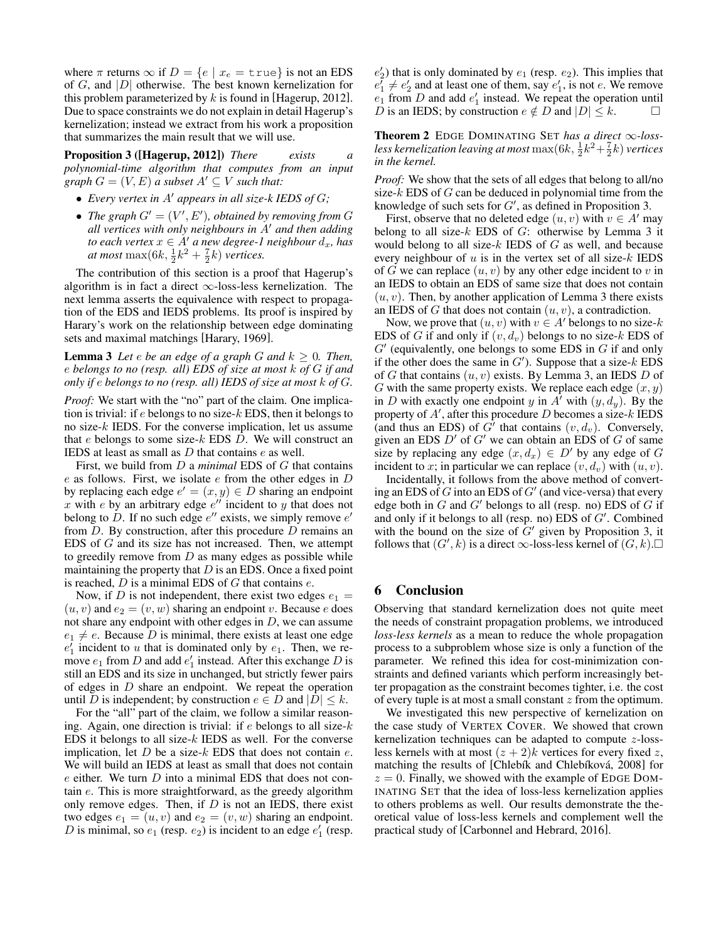where  $\pi$  returns  $\infty$  if  $D = \{e \mid x_e = \text{true}\}\$ is not an EDS of  $G$ , and  $|D|$  otherwise. The best known kernelization for this problem parameterized by  $k$  is found in [Hagerup, 2012]. Due to space constraints we do not explain in detail Hagerup's kernelization; instead we extract from his work a proposition that summarizes the main result that we will use.

Proposition 3 ([Hagerup, 2012]) *There exists a polynomial-time algorithm that computes from an input graph*  $G = (V, E)$  *a subset*  $A' \subseteq V$  *such that:* 

- *Every vertex in A' appears in all size-k IEDS of G;*
- The graph  $G' = (V', E')$ , obtained by removing from G *all vertices with only neighbours in* A' *and then adding to each vertex*  $x \in A'$  *a new degree-1 neighbour*  $d_x$ *, has at most*  $\max(6k, \frac{1}{2}k^2 + \frac{7}{2}k)$  *vertices.*

The contribution of this section is a proof that Hagerup's algorithm is in fact a direct  $\infty$ -loss-less kernelization. The next lemma asserts the equivalence with respect to propagation of the EDS and IEDS problems. Its proof is inspired by Harary's work on the relationship between edge dominating sets and maximal matchings [Harary, 1969].

**Lemma 3** Let  $e$  be an edge of a graph  $G$  and  $k \geq 0$ . Then, e *belongs to no (resp. all) EDS of size at most* k *of* G *if and only if* e *belongs to no (resp. all) IEDS of size at most* k *of* G*.*

*Proof:* We start with the "no" part of the claim. One implication is trivial: if  $e$  belongs to no size- $k$  EDS, then it belongs to no size-k IEDS. For the converse implication, let us assume that  $e$  belongs to some size- $k$  EDS  $D$ . We will construct an IEDS at least as small as  $D$  that contains  $e$  as well.

First, we build from D a *minimal* EDS of G that contains  $e$  as follows. First, we isolate  $e$  from the other edges in  $D$ by replacing each edge  $e' = (x, y) \in D$  sharing an endpoint x with e by an arbitrary edge  $e^{\prime\prime}$  incident to y that does not belong to D. If no such edge  $e''$  exists, we simply remove  $e'$ from  $D$ . By construction, after this procedure  $D$  remains an EDS of G and its size has not increased. Then, we attempt to greedily remove from  $D$  as many edges as possible while maintaining the property that  $D$  is an EDS. Once a fixed point is reached,  $D$  is a minimal EDS of  $G$  that contains  $e$ .

Now, if D is not independent, there exist two edges  $e_1$  =  $(u, v)$  and  $e_2 = (v, w)$  sharing an endpoint v. Because e does not share any endpoint with other edges in  $D$ , we can assume  $e_1 \neq e$ . Because D is minimal, there exists at least one edge  $e'_1$  incident to u that is dominated only by  $e_1$ . Then, we remove  $e_1$  from D and add  $e'_1$  instead. After this exchange D is still an EDS and its size in unchanged, but strictly fewer pairs of edges in D share an endpoint. We repeat the operation until D is independent; by construction  $e \in D$  and  $|D| \leq k$ .

For the "all" part of the claim, we follow a similar reasoning. Again, one direction is trivial: if  $e$  belongs to all size- $k$ EDS it belongs to all size- $k$  IEDS as well. For the converse implication, let  $D$  be a size- $k$  EDS that does not contain  $e$ . We will build an IEDS at least as small that does not contain  $e$  either. We turn  $D$  into a minimal EDS that does not contain e. This is more straightforward, as the greedy algorithm only remove edges. Then, if  $D$  is not an IEDS, there exist two edges  $e_1 = (u, v)$  and  $e_2 = (v, w)$  sharing an endpoint. D is minimal, so  $e_1$  (resp.  $e_2$ ) is incident to an edge  $e'_1$  (resp.

 $e'_2$ ) that is only dominated by  $e_1$  (resp.  $e_2$ ). This implies that  $e_1^7 \neq e_2^7$  and at least one of them, say  $e_1^7$ , is not e. We remove  $e_1$  from D and add  $e'_1$  instead. We repeat the operation until D is an IEDS; by construction  $e \notin D$  and  $|D| \leq k$ .

Theorem 2 EDGE DOMINATING SET *has a direct* ∞*-loss*less kernelization leaving at most  $\max(6k,\frac{1}{2}k^2{+}\frac{7}{2}k)$  vertices *in the kernel.*

*Proof:* We show that the sets of all edges that belong to all/no size- $k$  EDS of  $G$  can be deduced in polynomial time from the knowledge of such sets for  $G'$ , as defined in Proposition 3.

First, observe that no deleted edge  $(u, v)$  with  $v \in A'$  may belong to all size- $k$  EDS of  $G$ : otherwise by Lemma 3 it would belong to all size- $k$  IEDS of  $G$  as well, and because every neighbour of  $u$  is in the vertex set of all size- $k$  IEDS of G we can replace  $(u, v)$  by any other edge incident to v in an IEDS to obtain an EDS of same size that does not contain  $(u, v)$ . Then, by another application of Lemma 3 there exists an IEDS of G that does not contain  $(u, v)$ , a contradiction.

Now, we prove that  $(u, v)$  with  $v \in A'$  belongs to no size-k EDS of G if and only if  $(v, d_v)$  belongs to no size-k EDS of  $G'$  (equivalently, one belongs to some EDS in  $G$  if and only if the other does the same in  $G'$ ). Suppose that a size-k EDS of G that contains  $(u, v)$  exists. By Lemma 3, an IEDS D of G with the same property exists. We replace each edge  $(x, y)$ in D with exactly one endpoint y in A' with  $(y, d_y)$ . By the property of  $A'$ , after this procedure D becomes a size-k IEDS (and thus an EDS) of  $G^{\prime}$  that contains  $(v, d_v)$ . Conversely, given an EDS  $D'$  of  $G'$  we can obtain an EDS of G of same size by replacing any edge  $(x, d_x) \in D'$  by any edge of G incident to x; in particular we can replace  $(v, d_v)$  with  $(u, v)$ .

Incidentally, it follows from the above method of converting an EDS of  $G$  into an EDS of  $G'$  (and vice-versa) that every edge both in  $G$  and  $G'$  belongs to all (resp. no) EDS of  $G$  if and only if it belongs to all (resp. no) EDS of  $G'$ . Combined with the bound on the size of  $G'$  given by Proposition 3, it follows that  $(G', k)$  is a direct  $\infty$ -loss-less kernel of  $(G, k)$ .

## 6 Conclusion

Observing that standard kernelization does not quite meet the needs of constraint propagation problems, we introduced *loss-less kernels* as a mean to reduce the whole propagation process to a subproblem whose size is only a function of the parameter. We refined this idea for cost-minimization constraints and defined variants which perform increasingly better propagation as the constraint becomes tighter, i.e. the cost of every tuple is at most a small constant  $z$  from the optimum.

We investigated this new perspective of kernelization on the case study of VERTEX COVER. We showed that crown kernelization techniques can be adapted to compute z-lossless kernels with at most  $(z + 2)k$  vertices for every fixed z, matching the results of [Chlebík and Chlebíková, 2008] for  $z = 0$ . Finally, we showed with the example of EDGE DOM-INATING SET that the idea of loss-less kernelization applies to others problems as well. Our results demonstrate the theoretical value of loss-less kernels and complement well the practical study of [Carbonnel and Hebrard, 2016].